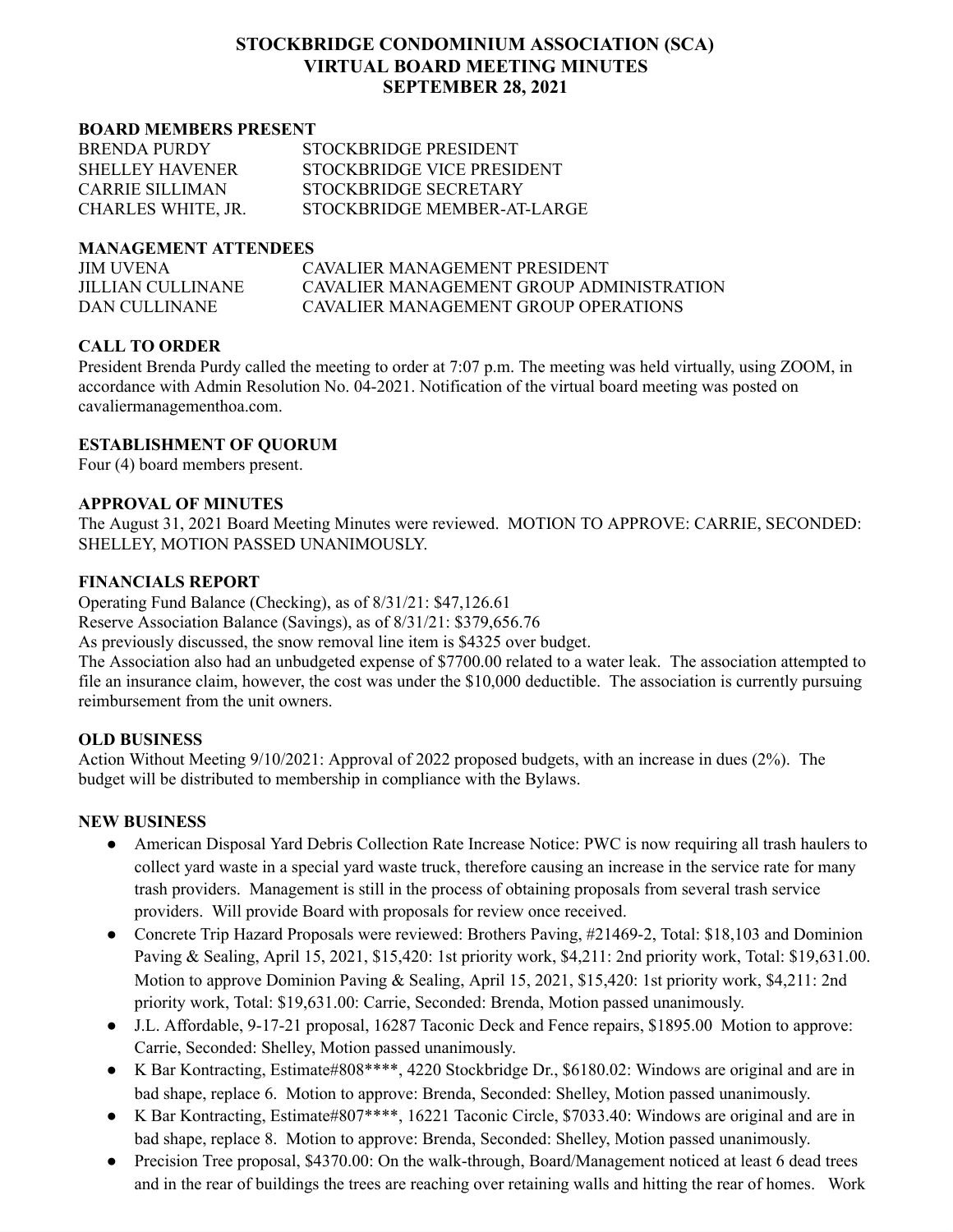# **STOCKBRIDGE CONDOMINIUM ASSOCIATION (SCA) VIRTUAL BOARD MEETING MINUTES SEPTEMBER 28, 2021**

#### **BOARD MEMBERS PRESENT**

| <b>BRENDA PURDY</b>    | STOCKBRIDGE PRESIDENT       |
|------------------------|-----------------------------|
| <b>SHELLEY HAVENER</b> | STOCKBRIDGE VICE PRESIDENT  |
| CARRIE SILLIMAN        | STOCKBRIDGE SECRETARY       |
| CHARLES WHITE, JR.     | STOCKBRIDGE MEMBER-AT-LARGE |

#### **MANAGEMENT ATTENDEES**

| <b>JIM UVENA</b>  | CAVALIER MANAGEMENT PRESIDENT            |
|-------------------|------------------------------------------|
| JILLIAN CULLINANE | CAVALIER MANAGEMENT GROUP ADMINISTRATION |
| DAN CULLINANE     | CAVALIER MANAGEMENT GROUP OPER ATIONS    |

# **CALL TO ORDER**

President Brenda Purdy called the meeting to order at 7:07 p.m. The meeting was held virtually, using ZOOM, in accordance with Admin Resolution No. 04-2021. Notification of the virtual board meeting was posted on cavaliermanagementhoa.com.

## **ESTABLISHMENT OF QUORUM**

Four (4) board members present.

#### **APPROVAL OF MINUTES**

The August 31, 2021 Board Meeting Minutes were reviewed. MOTION TO APPROVE: CARRIE, SECONDED: SHELLEY, MOTION PASSED UNANIMOUSLY.

## **FINANCIALS REPORT**

Operating Fund Balance (Checking), as of 8/31/21: \$47,126.61

Reserve Association Balance (Savings), as of 8/31/21: \$379,656.76

As previously discussed, the snow removal line item is \$4325 over budget.

The Association also had an unbudgeted expense of \$7700.00 related to a water leak. The association attempted to file an insurance claim, however, the cost was under the \$10,000 deductible. The association is currently pursuing reimbursement from the unit owners.

## **OLD BUSINESS**

Action Without Meeting 9/10/2021: Approval of 2022 proposed budgets, with an increase in dues (2%). The budget will be distributed to membership in compliance with the Bylaws.

## **NEW BUSINESS**

- American Disposal Yard Debris Collection Rate Increase Notice: PWC is now requiring all trash haulers to collect yard waste in a special yard waste truck, therefore causing an increase in the service rate for many trash providers. Management is still in the process of obtaining proposals from several trash service providers. Will provide Board with proposals for review once received.
- Concrete Trip Hazard Proposals were reviewed: Brothers Paving, #21469-2, Total: \$18,103 and Dominion Paving & Sealing, April 15, 2021, \$15,420: 1st priority work, \$4,211: 2nd priority work, Total: \$19,631.00. Motion to approve Dominion Paving & Sealing, April 15, 2021, \$15,420: 1st priority work, \$4,211: 2nd priority work, Total: \$19,631.00: Carrie, Seconded: Brenda, Motion passed unanimously.
- J.L. Affordable, 9-17-21 proposal, 16287 Taconic Deck and Fence repairs, \$1895.00 Motion to approve: Carrie, Seconded: Shelley, Motion passed unanimously.
- K Bar Kontracting, Estimate#808\*\*\*\*, 4220 Stockbridge Dr., \$6180.02: Windows are original and are in bad shape, replace 6. Motion to approve: Brenda, Seconded: Shelley, Motion passed unanimously.
- K Bar Kontracting, Estimate#807\*\*\*\*, 16221 Taconic Circle, \$7033.40: Windows are original and are in bad shape, replace 8. Motion to approve: Brenda, Seconded: Shelley, Motion passed unanimously.
- Precision Tree proposal, \$4370.00: On the walk-through, Board/Management noticed at least 6 dead trees and in the rear of buildings the trees are reaching over retaining walls and hitting the rear of homes. Work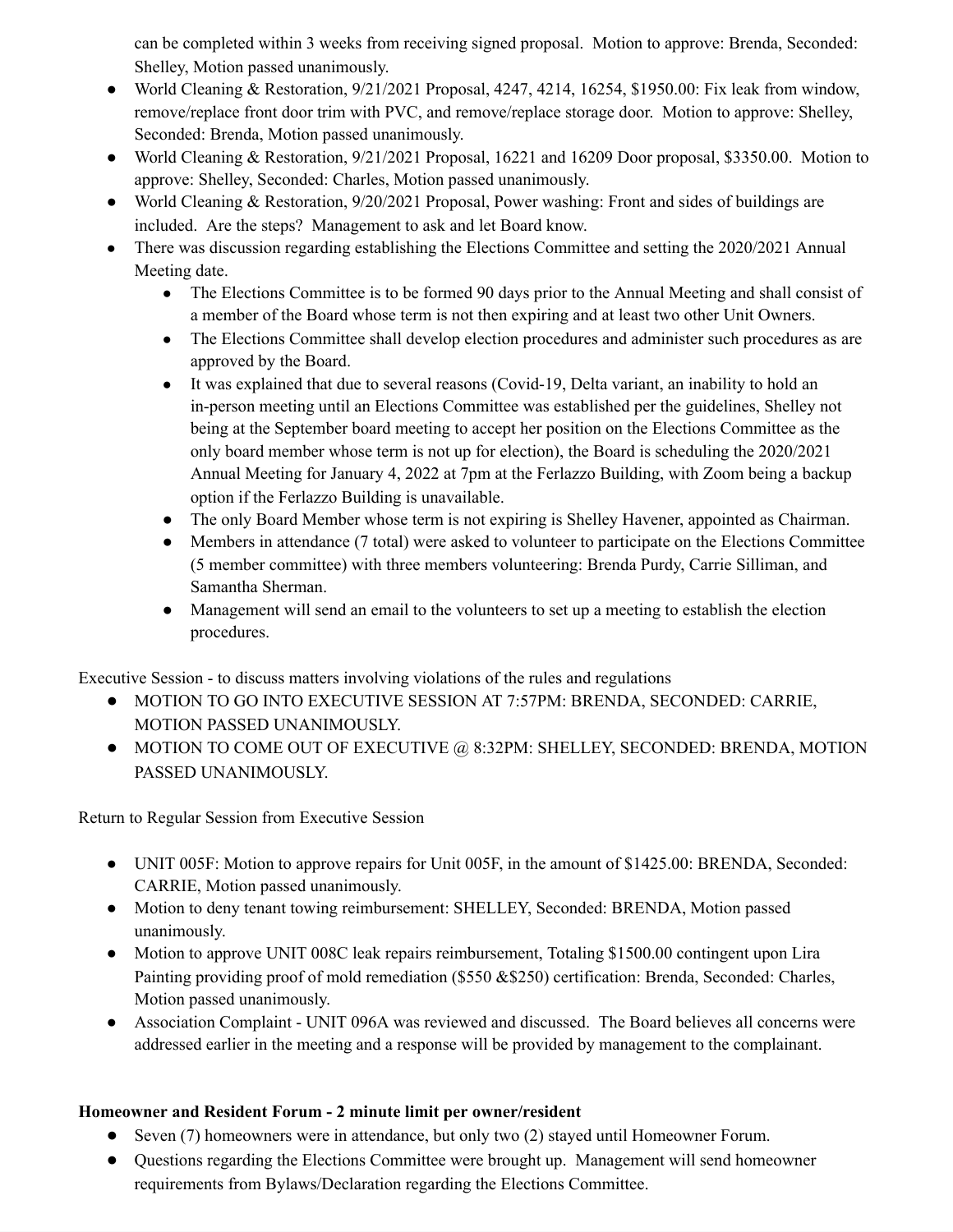can be completed within 3 weeks from receiving signed proposal. Motion to approve: Brenda, Seconded: Shelley, Motion passed unanimously.

- World Cleaning & Restoration,  $9/21/2021$  Proposal, 4247, 4214, 16254, \$1950.00: Fix leak from window, remove/replace front door trim with PVC, and remove/replace storage door. Motion to approve: Shelley, Seconded: Brenda, Motion passed unanimously.
- World Cleaning & Restoration, 9/21/2021 Proposal, 16221 and 16209 Door proposal, \$3350.00. Motion to approve: Shelley, Seconded: Charles, Motion passed unanimously.
- World Cleaning & Restoration,  $9/20/2021$  Proposal, Power washing: Front and sides of buildings are included. Are the steps? Management to ask and let Board know.
- There was discussion regarding establishing the Elections Committee and setting the 2020/2021 Annual Meeting date.
	- The Elections Committee is to be formed 90 days prior to the Annual Meeting and shall consist of a member of the Board whose term is not then expiring and at least two other Unit Owners.
	- The Elections Committee shall develop election procedures and administer such procedures as are approved by the Board.
	- It was explained that due to several reasons (Covid-19, Delta variant, an inability to hold an in-person meeting until an Elections Committee was established per the guidelines, Shelley not being at the September board meeting to accept her position on the Elections Committee as the only board member whose term is not up for election), the Board is scheduling the 2020/2021 Annual Meeting for January 4, 2022 at 7pm at the Ferlazzo Building, with Zoom being a backup option if the Ferlazzo Building is unavailable.
	- **●** The only Board Member whose term is not expiring is Shelley Havener, appointed as Chairman.
	- Members in attendance (7 total) were asked to volunteer to participate on the Elections Committee (5 member committee) with three members volunteering: Brenda Purdy, Carrie Silliman, and Samantha Sherman.
	- Management will send an email to the volunteers to set up a meeting to establish the election procedures.

Executive Session - to discuss matters involving violations of the rules and regulations

- MOTION TO GO INTO EXECUTIVE SESSION AT 7:57PM: BRENDA, SECONDED: CARRIE, MOTION PASSED UNANIMOUSLY.
- MOTION TO COME OUT OF EXECUTIVE @ 8:32PM: SHELLEY, SECONDED: BRENDA, MOTION PASSED UNANIMOUSLY.

Return to Regular Session from Executive Session

- UNIT 005F: Motion to approve repairs for Unit 005F, in the amount of \$1425.00: BRENDA, Seconded: CARRIE, Motion passed unanimously.
- Motion to deny tenant towing reimbursement: SHELLEY, Seconded: BRENDA, Motion passed unanimously.
- Motion to approve UNIT 008C leak repairs reimbursement, Totaling \$1500.00 contingent upon Lira Painting providing proof of mold remediation (\$550 &\$250) certification: Brenda, Seconded: Charles, Motion passed unanimously.
- Association Complaint UNIT 096A was reviewed and discussed. The Board believes all concerns were addressed earlier in the meeting and a response will be provided by management to the complainant.

# **Homeowner and Resident Forum - 2 minute limit per owner/resident**

- Seven (7) homeowners were in attendance, but only two (2) stayed until Homeowner Forum.
- Questions regarding the Elections Committee were brought up. Management will send homeowner requirements from Bylaws/Declaration regarding the Elections Committee.